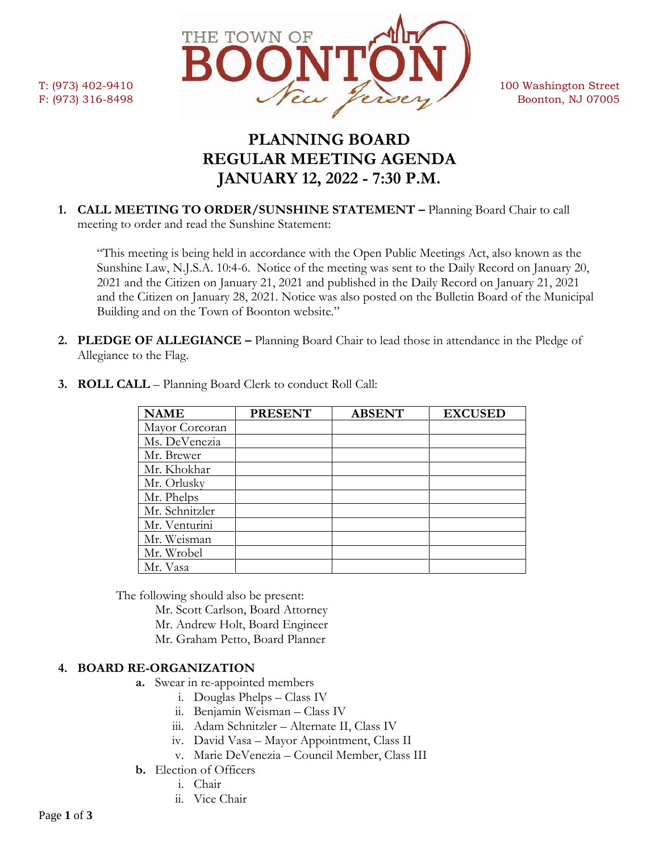

# **PLANNING BOARD REGULAR MEETING AGENDA JANUARY 12, 2022 - 7:30 P.M.**

**1. CALL MEETING TO ORDER/SUNSHINE STATEMENT –** Planning Board Chair to call meeting to order and read the Sunshine Statement:

"This meeting is being held in accordance with the Open Public Meetings Act, also known as the Sunshine Law, N.J.S.A. 10:4-6. Notice of the meeting was sent to the Daily Record on January 20, 2021 and the Citizen on January 21, 2021 and published in the Daily Record on January 21, 2021 and the Citizen on January 28, 2021. Notice was also posted on the Bulletin Board of the Municipal Building and on the Town of Boonton website."

**2. PLEDGE OF ALLEGIANCE –** Planning Board Chair to lead those in attendance in the Pledge of Allegiance to the Flag.

| <b>NAME</b>    | <b>PRESENT</b> | <b>ABSENT</b> | <b>EXCUSED</b> |
|----------------|----------------|---------------|----------------|
| Mayor Corcoran |                |               |                |
| Ms. DeVenezia  |                |               |                |
| Mr. Brewer     |                |               |                |
| Mr. Khokhar    |                |               |                |
| Mr. Orlusky    |                |               |                |
| Mr. Phelps     |                |               |                |
| Mr. Schnitzler |                |               |                |
| Mr. Venturini  |                |               |                |
| Mr. Weisman    |                |               |                |
| Mr. Wrobel     |                |               |                |
| Mr. Vasa       |                |               |                |

**3. ROLL CALL** – Planning Board Clerk to conduct Roll Call:

The following should also be present:

Mr. Scott Carlson, Board Attorney

- Mr. Andrew Holt, Board Engineer
- Mr. Graham Petto, Board Planner

## **4. BOARD RE-ORGANIZATION**

- **a.** Swear in re-appointed members
	- i. Douglas Phelps Class IV
	- ii. Benjamin Weisman Class IV
	- iii. Adam Schnitzler Alternate II, Class IV
	- iv. David Vasa Mayor Appointment, Class II
	- v. Marie DeVenezia Council Member, Class III
- **b.** Election of Officers
	- i. Chair
	- ii. Vice Chair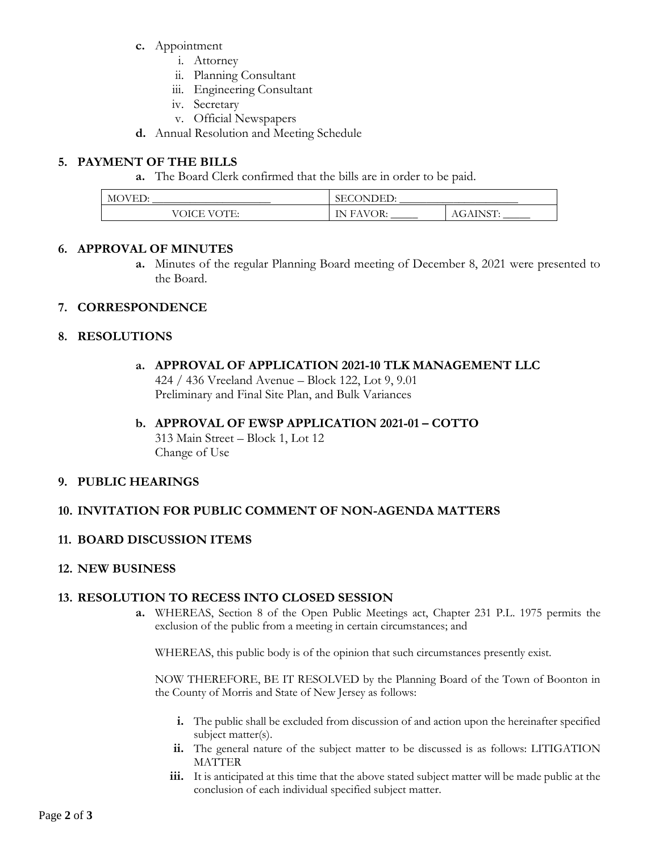- **c.** Appointment
	- i. Attorney
	- ii. Planning Consultant
	- iii. Engineering Consultant
	- iv. Secretary
	- v. Official Newspapers
- **d.** Annual Resolution and Meeting Schedule

# **5. PAYMENT OF THE BILLS**

**a.** The Board Clerk confirmed that the bills are in order to be paid.

| MС                                  | ירוׂ דרי                                    |                                           |
|-------------------------------------|---------------------------------------------|-------------------------------------------|
| WED                                 | $\overline{M}$                              |                                           |
| ∩.                                  | 5EU                                         |                                           |
| V(Y)<br>OICE<br>- 12<br>.<br>.<br>ິ | OR:<br>TN.<br>$\sqrt{6}$<br>н<br>. .<br>. . | <b>INST</b><br>AGAIN<br><b>NL.</b><br>, T |

#### **6. APPROVAL OF MINUTES**

**a.** Minutes of the regular Planning Board meeting of December 8, 2021 were presented to the Board.

## **7. CORRESPONDENCE**

## **8. RESOLUTIONS**

#### **a. APPROVAL OF APPLICATION 2021-10 TLK MANAGEMENT LLC**

424 / 436 Vreeland Avenue – Block 122, Lot 9, 9.01 Preliminary and Final Site Plan, and Bulk Variances

#### **b. APPROVAL OF EWSP APPLICATION 2021-01 – COTTO**

313 Main Street – Block 1, Lot 12 Change of Use

## **9. PUBLIC HEARINGS**

## **10. INVITATION FOR PUBLIC COMMENT OF NON-AGENDA MATTERS**

# **11. BOARD DISCUSSION ITEMS**

## **12. NEW BUSINESS**

## **13. RESOLUTION TO RECESS INTO CLOSED SESSION**

**a.** WHEREAS, Section 8 of the Open Public Meetings act, Chapter 231 P.L. 1975 permits the exclusion of the public from a meeting in certain circumstances; and

WHEREAS, this public body is of the opinion that such circumstances presently exist.

NOW THEREFORE, BE IT RESOLVED by the Planning Board of the Town of Boonton in the County of Morris and State of New Jersey as follows:

- **i.** The public shall be excluded from discussion of and action upon the hereinafter specified subject matter(s).
- **ii.** The general nature of the subject matter to be discussed is as follows: LITIGATION MATTER
- **iii.** It is anticipated at this time that the above stated subject matter will be made public at the conclusion of each individual specified subject matter.